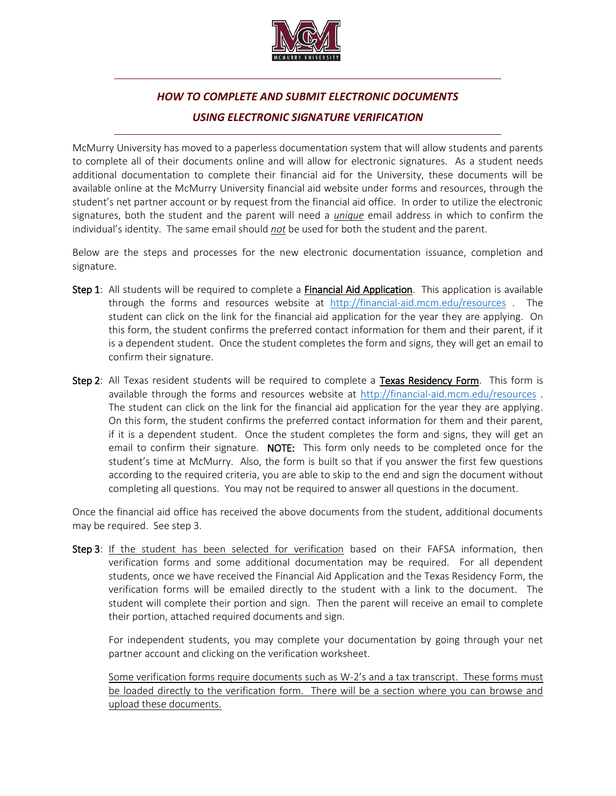

## *HOW TO COMPLETE AND SUBMIT ELECTRONIC DOCUMENTS USING ELECTRONIC SIGNATURE VERIFICATION*

McMurry University has moved to a paperless documentation system that will allow students and parents to complete all of their documents online and will allow for electronic signatures. As a student needs additional documentation to complete their financial aid for the University, these documents will be available online at the McMurry University financial aid website under forms and resources, through the student's net partner account or by request from the financial aid office. In order to utilize the electronic signatures, both the student and the parent will need a *unique* email address in which to confirm the individual's identity. The same email should *not* be used for both the student and the parent.

Below are the steps and processes for the new electronic documentation issuance, completion and signature.

- Step 1: All students will be required to complete a **Financial Aid Application**. This application is available through the forms and resources website at <http://financial-aid.mcm.edu/resources> . The student can click on the link for the financial aid application for the year they are applying. On this form, the student confirms the preferred contact information for them and their parent, if it is a dependent student. Once the student completes the form and signs, they will get an email to confirm their signature.
- Step 2: All Texas resident students will be required to complete a Texas Residency Form. This form is available through the forms and resources website at<http://financial-aid.mcm.edu/resources> . The student can click on the link for the financial aid application for the year they are applying. On this form, the student confirms the preferred contact information for them and their parent, if it is a dependent student. Once the student completes the form and signs, they will get an email to confirm their signature. **NOTE:** This form only needs to be completed once for the student's time at McMurry. Also, the form is built so that if you answer the first few questions according to the required criteria, you are able to skip to the end and sign the document without completing all questions. You may not be required to answer all questions in the document.

Once the financial aid office has received the above documents from the student, additional documents may be required. See step 3.

Step 3: If the student has been selected for verification based on their FAFSA information, then verification forms and some additional documentation may be required. For all dependent students, once we have received the Financial Aid Application and the Texas Residency Form, the verification forms will be emailed directly to the student with a link to the document. The student will complete their portion and sign. Then the parent will receive an email to complete their portion, attached required documents and sign.

For independent students, you may complete your documentation by going through your net partner account and clicking on the verification worksheet.

Some verification forms require documents such as W-2's and a tax transcript. These forms must be loaded directly to the verification form. There will be a section where you can browse and upload these documents.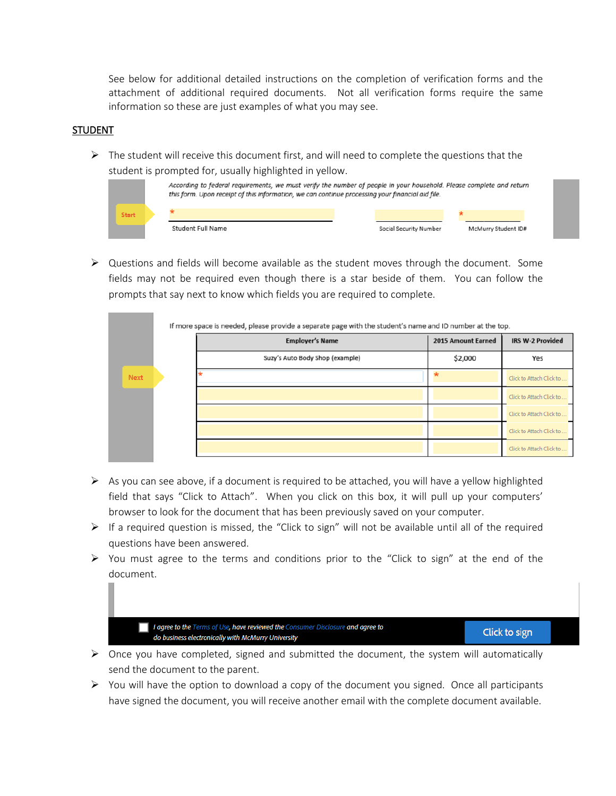See below for additional detailed instructions on the completion of verification forms and the attachment of additional required documents. Not all verification forms require the same information so these are just examples of what you may see.

## **STUDENT**

 $\triangleright$  The student will receive this document first, and will need to complete the questions that the student is prompted for, usually highlighted in yellow.

|              | According to federal requirements, we must verify the number of people in your household. Please complete and return<br>this form. Upon receipt of this information, we can continue processing your financial aid file. |  |                        |                     |  |  |
|--------------|--------------------------------------------------------------------------------------------------------------------------------------------------------------------------------------------------------------------------|--|------------------------|---------------------|--|--|
| <b>Start</b> |                                                                                                                                                                                                                          |  |                        |                     |  |  |
|              | Student Full Name                                                                                                                                                                                                        |  | Social Security Number | McMurry Student ID# |  |  |

 $\triangleright$  Questions and fields will become available as the student moves through the document. Some fields may not be required even though there is a star beside of them. You can follow the prompts that say next to know which fields you are required to complete.

|      | <b>Employer's Name</b>          | 2015 Amount Earned | <b>IRS W-2 Provided</b>  |  |
|------|---------------------------------|--------------------|--------------------------|--|
|      | Suzy's Auto Body Shop (example) | \$2,000            | Yes                      |  |
| Next |                                 |                    | Click to Attach Click to |  |
|      |                                 |                    | Click to Attach Click to |  |
|      |                                 |                    | Click to Attach Click to |  |
|      |                                 |                    | Click to Attach Click to |  |
|      |                                 |                    | Click to Attach Click to |  |

- $\triangleright$  As you can see above, if a document is required to be attached, you will have a yellow highlighted field that says "Click to Attach". When you click on this box, it will pull up your computers' browser to look for the document that has been previously saved on your computer.
- $\triangleright$  If a required question is missed, the "Click to sign" will not be available until all of the required questions have been answered.
- $\triangleright$  You must agree to the terms and conditions prior to the "Click to sign" at the end of the document.

I agree to the Terms of Use, have reviewed the Consumer Disclosure and agree to do business electronically with McMurry University

Click to sign

- $\triangleright$  Once you have completed, signed and submitted the document, the system will automatically send the document to the parent.
- $\triangleright$  You will have the option to download a copy of the document you signed. Once all participants have signed the document, you will receive another email with the complete document available.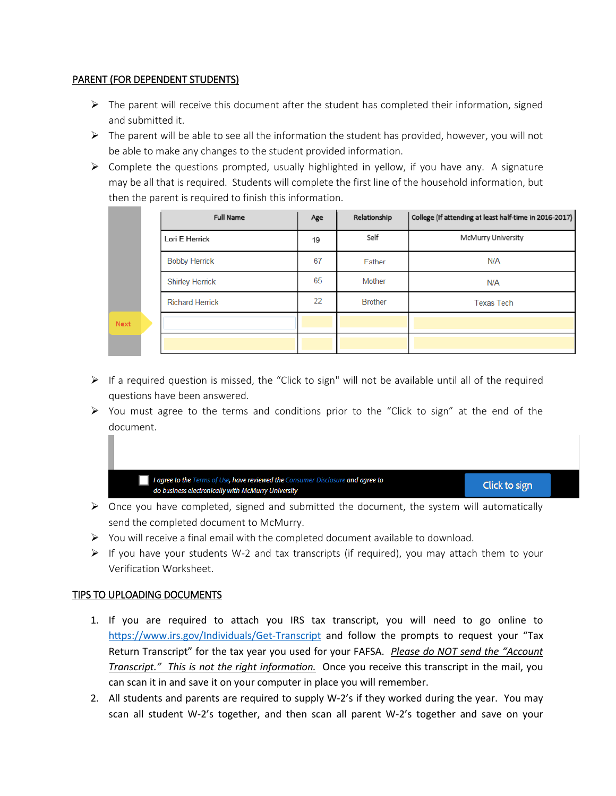## PARENT (FOR DEPENDENT STUDENTS)

- $\triangleright$  The parent will receive this document after the student has completed their information, signed and submitted it.
- $\triangleright$  The parent will be able to see all the information the student has provided, however, you will not be able to make any changes to the student provided information.
- $\triangleright$  Complete the questions prompted, usually highlighted in yellow, if you have any. A signature may be all that is required. Students will complete the first line of the household information, but then the parent is required to finish this information.

|      | <b>Full Name</b>       | Age | Relationship   | College (If attending at least half-time in 2016-2017) |
|------|------------------------|-----|----------------|--------------------------------------------------------|
|      | Lori E Herrick         | 19  | Self           | <b>McMurry University</b>                              |
|      | <b>Bobby Herrick</b>   | 67  | Father         | N/A                                                    |
|      | <b>Shirley Herrick</b> | 65  | Mother         | N/A                                                    |
|      | <b>Richard Herrick</b> | 22  | <b>Brother</b> | <b>Texas Tech</b>                                      |
| Next |                        |     |                |                                                        |
|      |                        |     |                |                                                        |

- $\triangleright$  If a required question is missed, the "Click to sign" will not be available until all of the required questions have been answered.
- $\triangleright$  You must agree to the terms and conditions prior to the "Click to sign" at the end of the document.

I agree to the Terms of Use, have reviewed the Consumer Disclosure and agree to do business electronically with McMurry University

Click to sign

- $\triangleright$  Once you have completed, signed and submitted the document, the system will automatically send the completed document to McMurry.
- $\triangleright$  You will receive a final email with the completed document available to download.
- $\triangleright$  If you have your students W-2 and tax transcripts (if required), you may attach them to your Verification Worksheet.

## TIPS TO UPLOADING DOCUMENTS

- 1. If you are required to attach you IRS tax transcript, you will need to go online to [https://www.irs.gov/Individuals/Get](https://www.irs.gov/Individuals/Get-Transcript)-Transcript and follow the prompts to request your "Tax Return Transcript" for the tax year you used for your FAFSA. *Please do NOT send the "Account Transcript." This is not the right information.* Once you receive this transcript in the mail, you can scan it in and save it on your computer in place you will remember.
- 2. All students and parents are required to supply W-2's if they worked during the year. You may scan all student W-2's together, and then scan all parent W-2's together and save on your